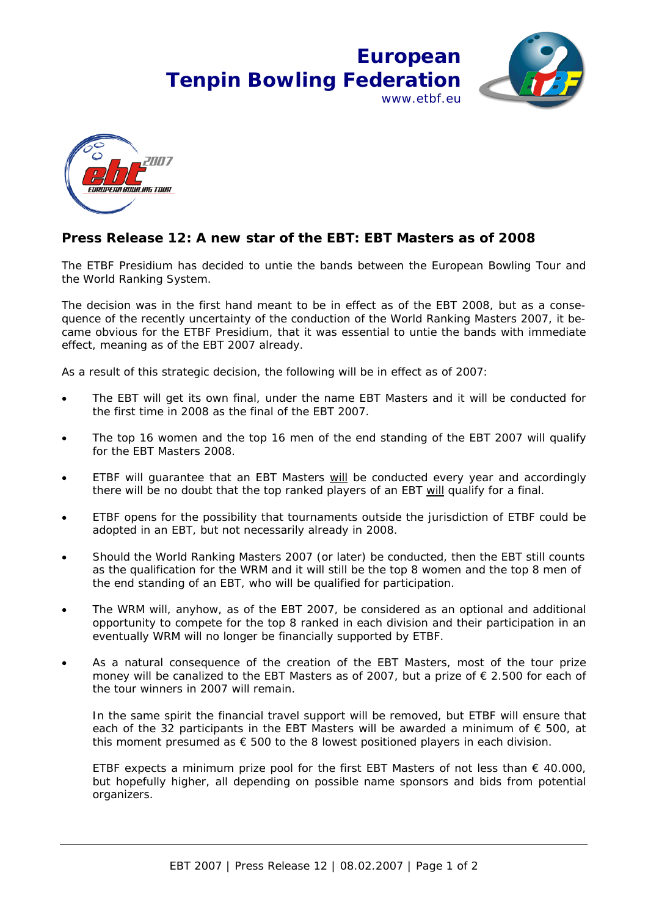## **European Tenpin Bowling Federation** www.ethf.eu



## **Press Release 12: A new star of the EBT: EBT Masters as of 2008**

The ETBF Presidium has decided to untie the bands between the European Bowling Tour and the World Ranking System.

The decision was in the first hand meant to be in effect as of the EBT 2008, but as a consequence of the recently uncertainty of the conduction of the World Ranking Masters 2007, it became obvious for the ETBF Presidium, that it was essential to untie the bands with immediate effect, meaning as of the EBT 2007 already.

As a result of this strategic decision, the following will be in effect as of 2007:

- The EBT will get its own final, under the name EBT Masters and it will be conducted for the first time in 2008 as the final of the EBT 2007.
- The top 16 women and the top 16 men of the end standing of the EBT 2007 will qualify for the EBT Masters 2008.
- ETBF will guarantee that an EBT Masters will be conducted every year and accordingly there will be no doubt that the top ranked players of an EBT will qualify for a final.
- ETBF opens for the possibility that tournaments outside the jurisdiction of ETBF could be adopted in an EBT, but not necessarily already in 2008.
- Should the World Ranking Masters 2007 (or later) be conducted, then the EBT still counts as the qualification for the WRM and it will still be the top 8 women and the top 8 men of the end standing of an EBT, who will be qualified for participation.
- The WRM will, anyhow, as of the EBT 2007, be considered as an optional and additional opportunity to compete for the top 8 ranked in each division and their participation in an eventually WRM will no longer be financially supported by ETBF.
- As a natural consequence of the creation of the EBT Masters, most of the tour prize money will be canalized to the EBT Masters as of 2007, but a prize of € 2.500 for each of the tour winners in 2007 will remain.

In the same spirit the financial travel support will be removed, but ETBF will ensure that each of the 32 participants in the EBT Masters will be awarded a minimum of  $\epsilon$  500, at this moment presumed as  $\epsilon$  500 to the 8 lowest positioned players in each division.

ETBF expects a minimum prize pool for the first EBT Masters of not less than  $\epsilon$  40.000, but hopefully higher, all depending on possible name sponsors and bids from potential organizers.